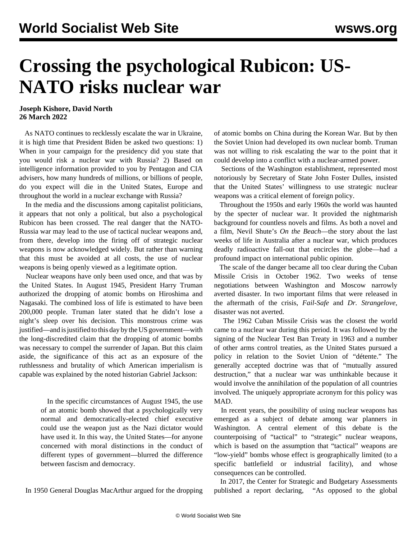## **Crossing the psychological Rubicon: US-NATO risks nuclear war**

## **Joseph Kishore, David North 26 March 2022**

 As NATO continues to recklessly escalate the war in Ukraine, it is high time that President Biden be asked two questions: 1) When in your campaign for the presidency did you state that you would risk a nuclear war with Russia? 2) Based on intelligence information provided to you by Pentagon and CIA advisers, how many hundreds of millions, or billions of people, do you expect will die in the United States, Europe and throughout the world in a nuclear exchange with Russia?

 In the media and the discussions among capitalist politicians, it appears that not only a political, but also a psychological Rubicon has been crossed. The real danger that the NATO-Russia war may lead to the use of tactical nuclear weapons and, from there, develop into the firing off of strategic nuclear weapons is now acknowledged widely. But rather than warning that this must be avoided at all costs, the use of nuclear weapons is being openly viewed as a legitimate option.

 Nuclear weapons have only been used once, and that was by the United States. In August 1945, President Harry Truman authorized the dropping of atomic bombs on Hiroshima and Nagasaki. The combined loss of life is estimated to have been 200,000 people. Truman later stated that he didn't lose a night's sleep over his decision. This monstrous crime was justified—and is justified to this day by the US government—with the long-discredited claim that the dropping of atomic bombs was necessary to compel the surrender of Japan. But this claim aside, the significance of this act as an exposure of the ruthlessness and brutality of which American imperialism is capable was explained by the noted historian Gabriel Jackson:

> In the specific circumstances of August 1945, the use of an atomic bomb showed that a psychologically very normal and democratically-elected chief executive could use the weapon just as the Nazi dictator would have used it. In this way, the United States—for anyone concerned with moral distinctions in the conduct of different types of government—blurred the difference between fascism and democracy.

In 1950 General Douglas MacArthur argued for the dropping

of atomic bombs on China during the Korean War. But by then the Soviet Union had developed its own nuclear bomb. Truman was not willing to risk escalating the war to the point that it could develop into a conflict with a nuclear-armed power.

 Sections of the Washington establishment, represented most notoriously by Secretary of State John Foster Dulles, insisted that the United States' willingness to use strategic nuclear weapons was a critical element of foreign policy.

 Throughout the 1950s and early 1960s the world was haunted by the specter of nuclear war. It provided the nightmarish background for countless novels and films. As both a novel and a film, Nevil Shute's *On the Beach*—the story about the last weeks of life in Australia after a nuclear war, which produces deadly radioactive fall-out that encircles the globe—had a profound impact on international public opinion.

 The scale of the danger became all too clear during the Cuban Missile Crisis in October 1962. Two weeks of tense negotiations between Washington and Moscow narrowly averted disaster. In two important films that were released in the aftermath of the crisis, *Fail-Safe* and *Dr. Strangelove*, disaster was not averted.

 The 1962 Cuban Missile Crisis was the closest the world came to a nuclear war during this period. It was followed by the signing of the Nuclear Test Ban Treaty in 1963 and a number of other arms control treaties, as the United States pursued a policy in relation to the Soviet Union of "détente." The generally accepted doctrine was that of "mutually assured destruction," that a nuclear war was unthinkable because it would involve the annihilation of the population of all countries involved. The uniquely appropriate acronym for this policy was MAD.

 In recent years, the possibility of using nuclear weapons has emerged as a subject of debate among war planners in Washington. A central element of this debate is the counterpoising of "tactical" to "strategic" nuclear weapons, which is based on the assumption that "tactical" weapons are "low-yield" bombs whose effect is geographically limited (to a specific battlefield or industrial facility), and whose consequences can be controlled.

 In 2017, the Center for Strategic and Budgetary Assessments published a report declaring, "As opposed to the global